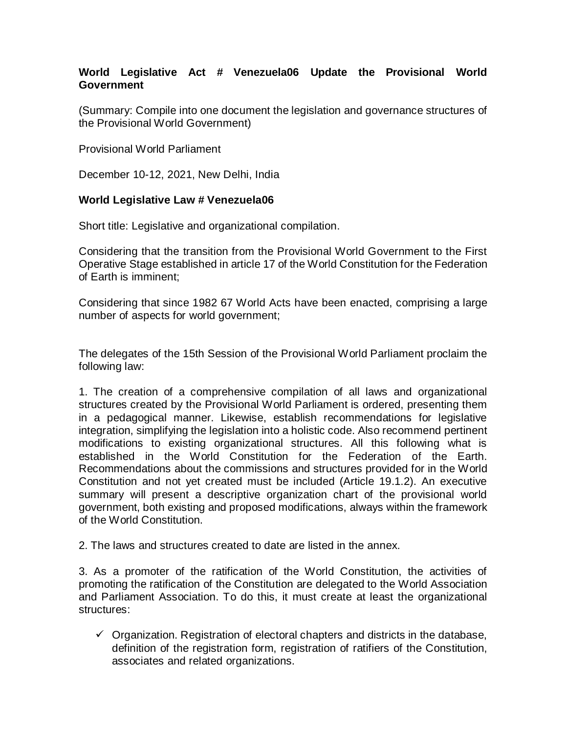# **World Legislative Act # Venezuela06 Update the Provisional World Government**

(Summary: Compile into one document the legislation and governance structures of the Provisional World Government)

Provisional World Parliament

December 10-12, 2021, New Delhi, India

#### **World Legislative Law # Venezuela06**

Short title: Legislative and organizational compilation.

Considering that the transition from the Provisional World Government to the First Operative Stage established in article 17 of the World Constitution for the Federation of Earth is imminent;

Considering that since 1982 67 World Acts have been enacted, comprising a large number of aspects for world government;

The delegates of the 15th Session of the Provisional World Parliament proclaim the following law:

1. The creation of a comprehensive compilation of all laws and organizational structures created by the Provisional World Parliament is ordered, presenting them in a pedagogical manner. Likewise, establish recommendations for legislative integration, simplifying the legislation into a holistic code. Also recommend pertinent modifications to existing organizational structures. All this following what is established in the World Constitution for the Federation of the Earth. Recommendations about the commissions and structures provided for in the World Constitution and not yet created must be included (Article 19.1.2). An executive summary will present a descriptive organization chart of the provisional world government, both existing and proposed modifications, always within the framework of the World Constitution.

2. The laws and structures created to date are listed in the annex.

3. As a promoter of the ratification of the World Constitution, the activities of promoting the ratification of the Constitution are delegated to the World Association and Parliament Association. To do this, it must create at least the organizational structures:

 $\checkmark$  Organization. Registration of electoral chapters and districts in the database, definition of the registration form, registration of ratifiers of the Constitution, associates and related organizations.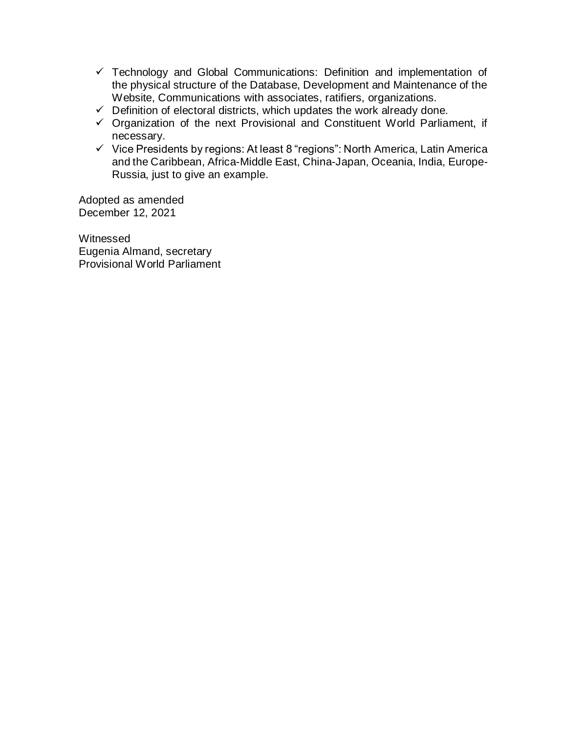- $\checkmark$  Technology and Global Communications: Definition and implementation of the physical structure of the Database, Development and Maintenance of the Website, Communications with associates, ratifiers, organizations.
- $\checkmark$  Definition of electoral districts, which updates the work already done.
- $\checkmark$  Organization of the next Provisional and Constituent World Parliament, if necessary.
- $\checkmark$  Vice Presidents by regions: At least 8 "regions": North America, Latin America and the Caribbean, Africa-Middle East, China-Japan, Oceania, India, Europe-Russia, just to give an example.

Adopted as amended December 12, 2021

Witnessed Eugenia Almand, secretary Provisional World Parliament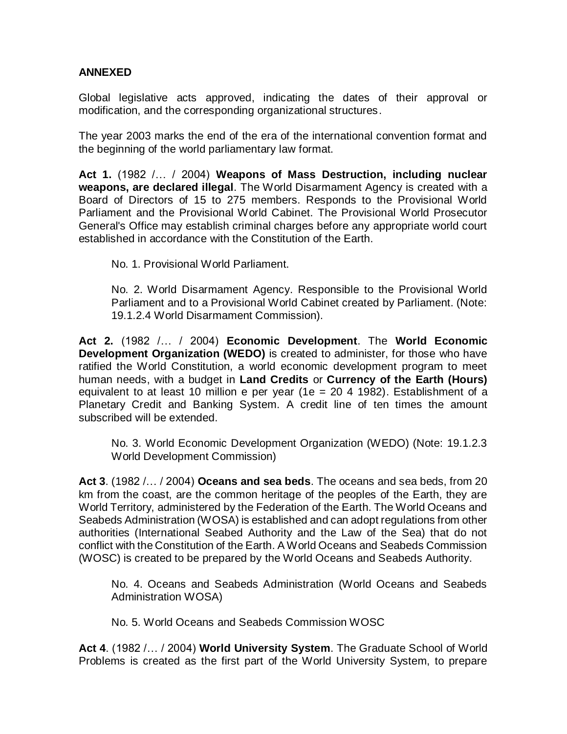# **ANNEXED**

Global legislative acts approved, indicating the dates of their approval or modification, and the corresponding organizational structures.

The year 2003 marks the end of the era of the international convention format and the beginning of the world parliamentary law format.

**Act 1.** (1982 /… / 2004) **Weapons of Mass Destruction, including nuclear weapons, are declared illegal**. The World Disarmament Agency is created with a Board of Directors of 15 to 275 members. Responds to the Provisional World Parliament and the Provisional World Cabinet. The Provisional World Prosecutor General's Office may establish criminal charges before any appropriate world court established in accordance with the Constitution of the Earth.

No. 1. Provisional World Parliament.

No. 2. World Disarmament Agency. Responsible to the Provisional World Parliament and to a Provisional World Cabinet created by Parliament. (Note: 19.1.2.4 World Disarmament Commission).

**Act 2.** (1982 /… / 2004) **Economic Development**. The **World Economic Development Organization (WEDO)** is created to administer, for those who have ratified the World Constitution, a world economic development program to meet human needs, with a budget in **Land Credits** or **Currency of the Earth (Hours)** equivalent to at least 10 million e per year (1e = 20 4 1982). Establishment of a Planetary Credit and Banking System. A credit line of ten times the amount subscribed will be extended.

No. 3. World Economic Development Organization (WEDO) (Note: 19.1.2.3 World Development Commission)

**Act 3**. (1982 /… / 2004) **Oceans and sea beds**. The oceans and sea beds, from 20 km from the coast, are the common heritage of the peoples of the Earth, they are World Territory, administered by the Federation of the Earth. The World Oceans and Seabeds Administration (WOSA) is established and can adopt regulations from other authorities (International Seabed Authority and the Law of the Sea) that do not conflict with the Constitution of the Earth. A World Oceans and Seabeds Commission (WOSC) is created to be prepared by the World Oceans and Seabeds Authority.

No. 4. Oceans and Seabeds Administration (World Oceans and Seabeds Administration WOSA)

No. 5. World Oceans and Seabeds Commission WOSC

**Act 4**. (1982 /… / 2004) **World University System**. The Graduate School of World Problems is created as the first part of the World University System, to prepare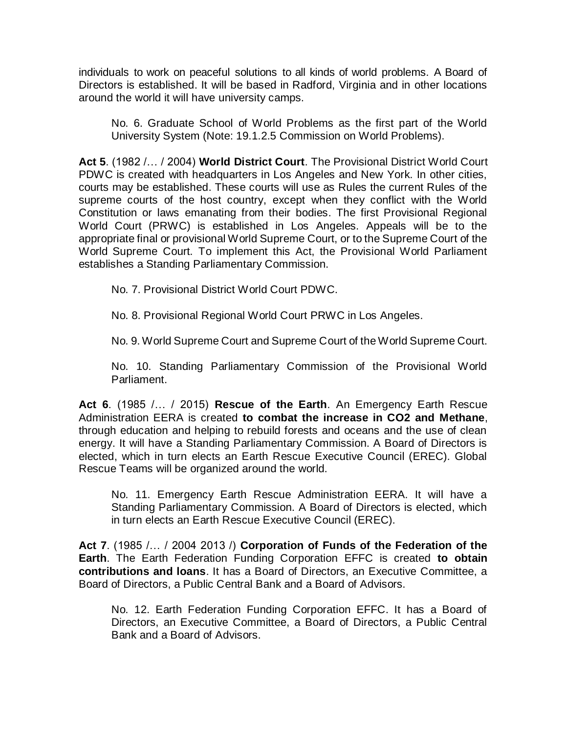individuals to work on peaceful solutions to all kinds of world problems. A Board of Directors is established. It will be based in Radford, Virginia and in other locations around the world it will have university camps.

No. 6. Graduate School of World Problems as the first part of the World University System (Note: 19.1.2.5 Commission on World Problems).

**Act 5**. (1982 /… / 2004) **World District Court**. The Provisional District World Court PDWC is created with headquarters in Los Angeles and New York. In other cities, courts may be established. These courts will use as Rules the current Rules of the supreme courts of the host country, except when they conflict with the World Constitution or laws emanating from their bodies. The first Provisional Regional World Court (PRWC) is established in Los Angeles. Appeals will be to the appropriate final or provisional World Supreme Court, or to the Supreme Court of the World Supreme Court. To implement this Act, the Provisional World Parliament establishes a Standing Parliamentary Commission.

No. 7. Provisional District World Court PDWC.

No. 8. Provisional Regional World Court PRWC in Los Angeles.

No. 9. World Supreme Court and Supreme Court of the World Supreme Court.

No. 10. Standing Parliamentary Commission of the Provisional World Parliament.

**Act 6**. (1985 /… / 2015) **Rescue of the Earth**. An Emergency Earth Rescue Administration EERA is created **to combat the increase in CO2 and Methane**, through education and helping to rebuild forests and oceans and the use of clean energy. It will have a Standing Parliamentary Commission. A Board of Directors is elected, which in turn elects an Earth Rescue Executive Council (EREC). Global Rescue Teams will be organized around the world.

No. 11. Emergency Earth Rescue Administration EERA. It will have a Standing Parliamentary Commission. A Board of Directors is elected, which in turn elects an Earth Rescue Executive Council (EREC).

**Act 7**. (1985 /… / 2004 2013 /) **Corporation of Funds of the Federation of the Earth**. The Earth Federation Funding Corporation EFFC is created **to obtain contributions and loans**. It has a Board of Directors, an Executive Committee, a Board of Directors, a Public Central Bank and a Board of Advisors.

No. 12. Earth Federation Funding Corporation EFFC. It has a Board of Directors, an Executive Committee, a Board of Directors, a Public Central Bank and a Board of Advisors.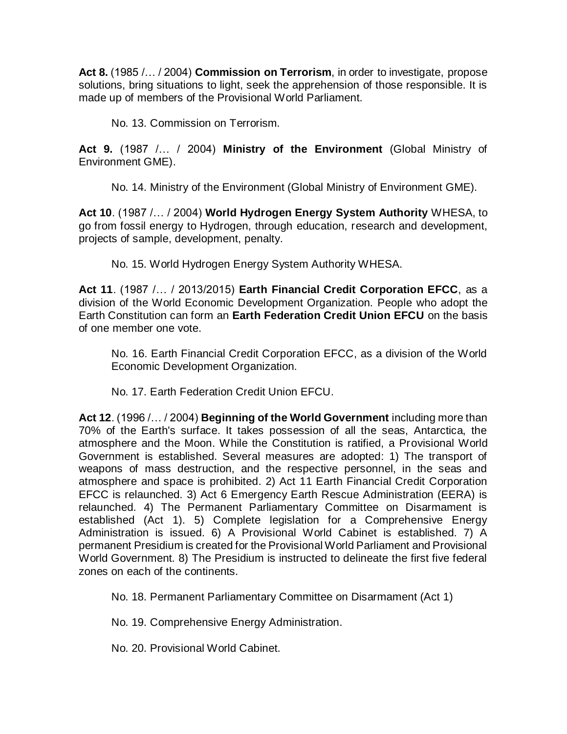**Act 8.** (1985 /… / 2004) **Commission on Terrorism**, in order to investigate, propose solutions, bring situations to light, seek the apprehension of those responsible. It is made up of members of the Provisional World Parliament.

No. 13. Commission on Terrorism.

**Act 9.** (1987 /… / 2004) **Ministry of the Environment** (Global Ministry of Environment GME).

No. 14. Ministry of the Environment (Global Ministry of Environment GME).

**Act 10**. (1987 /… / 2004) **World Hydrogen Energy System Authority** WHESA, to go from fossil energy to Hydrogen, through education, research and development, projects of sample, development, penalty.

No. 15. World Hydrogen Energy System Authority WHESA.

**Act 11**. (1987 /… / 2013/2015) **Earth Financial Credit Corporation EFCC**, as a division of the World Economic Development Organization. People who adopt the Earth Constitution can form an **Earth Federation Credit Union EFCU** on the basis of one member one vote.

No. 16. Earth Financial Credit Corporation EFCC, as a division of the World Economic Development Organization.

No. 17. Earth Federation Credit Union EFCU.

**Act 12**. (1996 /… / 2004) **Beginning of the World Government** including more than 70% of the Earth's surface. It takes possession of all the seas, Antarctica, the atmosphere and the Moon. While the Constitution is ratified, a Provisional World Government is established. Several measures are adopted: 1) The transport of weapons of mass destruction, and the respective personnel, in the seas and atmosphere and space is prohibited. 2) Act 11 Earth Financial Credit Corporation EFCC is relaunched. 3) Act 6 Emergency Earth Rescue Administration (EERA) is relaunched. 4) The Permanent Parliamentary Committee on Disarmament is established (Act 1). 5) Complete legislation for a Comprehensive Energy Administration is issued. 6) A Provisional World Cabinet is established. 7) A permanent Presidium is created for the Provisional World Parliament and Provisional World Government. 8) The Presidium is instructed to delineate the first five federal zones on each of the continents.

No. 18. Permanent Parliamentary Committee on Disarmament (Act 1)

No. 19. Comprehensive Energy Administration.

No. 20. Provisional World Cabinet.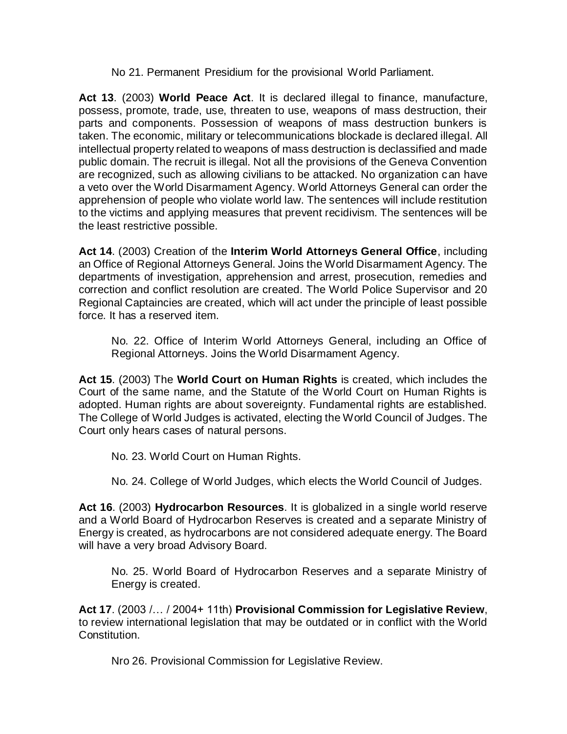### No 21. Permanent Presidium for the provisional World Parliament.

**Act 13**. (2003) **World Peace Act**. It is declared illegal to finance, manufacture, possess, promote, trade, use, threaten to use, weapons of mass destruction, their parts and components. Possession of weapons of mass destruction bunkers is taken. The economic, military or telecommunications blockade is declared illegal. All intellectual property related to weapons of mass destruction is declassified and made public domain. The recruit is illegal. Not all the provisions of the Geneva Convention are recognized, such as allowing civilians to be attacked. No organization can have a veto over the World Disarmament Agency. World Attorneys General can order the apprehension of people who violate world law. The sentences will include restitution to the victims and applying measures that prevent recidivism. The sentences will be the least restrictive possible.

**Act 14**. (2003) Creation of the **Interim World Attorneys General Office**, including an Office of Regional Attorneys General. Joins the World Disarmament Agency. The departments of investigation, apprehension and arrest, prosecution, remedies and correction and conflict resolution are created. The World Police Supervisor and 20 Regional Captaincies are created, which will act under the principle of least possible force. It has a reserved item.

No. 22. Office of Interim World Attorneys General, including an Office of Regional Attorneys. Joins the World Disarmament Agency.

**Act 15**. (2003) The **World Court on Human Rights** is created, which includes the Court of the same name, and the Statute of the World Court on Human Rights is adopted. Human rights are about sovereignty. Fundamental rights are established. The College of World Judges is activated, electing the World Council of Judges. The Court only hears cases of natural persons.

No. 23. World Court on Human Rights.

No. 24. College of World Judges, which elects the World Council of Judges.

**Act 16**. (2003) **Hydrocarbon Resources**. It is globalized in a single world reserve and a World Board of Hydrocarbon Reserves is created and a separate Ministry of Energy is created, as hydrocarbons are not considered adequate energy. The Board will have a very broad Advisory Board.

No. 25. World Board of Hydrocarbon Reserves and a separate Ministry of Energy is created.

**Act 17**. (2003 /… / 2004+ 11th) **Provisional Commission for Legislative Review**, to review international legislation that may be outdated or in conflict with the World Constitution.

Nro 26. Provisional Commission for Legislative Review.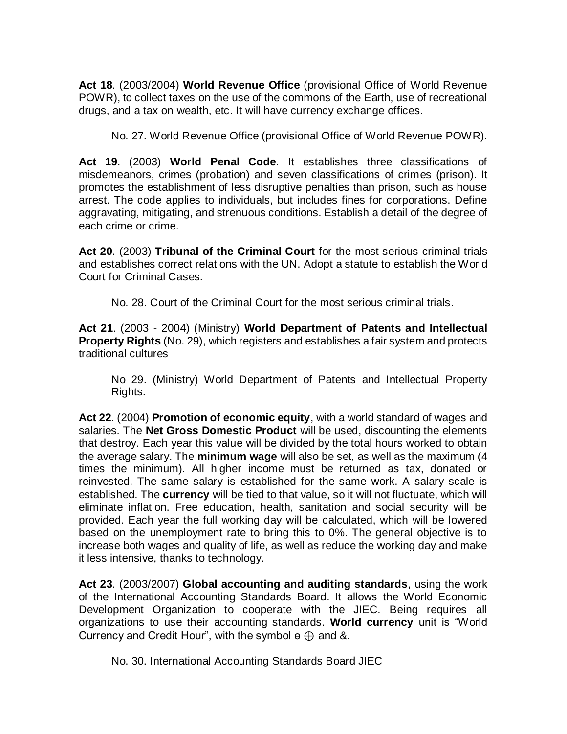**Act 18**. (2003/2004) **World Revenue Office** (provisional Office of World Revenue POWR), to collect taxes on the use of the commons of the Earth, use of recreational drugs, and a tax on wealth, etc. It will have currency exchange offices.

No. 27. World Revenue Office (provisional Office of World Revenue POWR).

**Act 19**. (2003) **World Penal Code**. It establishes three classifications of misdemeanors, crimes (probation) and seven classifications of crimes (prison). It promotes the establishment of less disruptive penalties than prison, such as house arrest. The code applies to individuals, but includes fines for corporations. Define aggravating, mitigating, and strenuous conditions. Establish a detail of the degree of each crime or crime.

**Act 20**. (2003) **Tribunal of the Criminal Court** for the most serious criminal trials and establishes correct relations with the UN. Adopt a statute to establish the World Court for Criminal Cases.

No. 28. Court of the Criminal Court for the most serious criminal trials.

**Act 21**. (2003 - 2004) (Ministry) **World Department of Patents and Intellectual Property Rights** (No. 29), which registers and establishes a fair system and protects traditional cultures

No 29. (Ministry) World Department of Patents and Intellectual Property Rights.

**Act 22**. (2004) **Promotion of economic equity**, with a world standard of wages and salaries. The **Net Gross Domestic Product** will be used, discounting the elements that destroy. Each year this value will be divided by the total hours worked to obtain the average salary. The **minimum wage** will also be set, as well as the maximum (4 times the minimum). All higher income must be returned as tax, donated or reinvested. The same salary is established for the same work. A salary scale is established. The **currency** will be tied to that value, so it will not fluctuate, which will eliminate inflation. Free education, health, sanitation and social security will be provided. Each year the full working day will be calculated, which will be lowered based on the unemployment rate to bring this to 0%. The general objective is to increase both wages and quality of life, as well as reduce the working day and make it less intensive, thanks to technology.

**Act 23**. (2003/2007) **Global accounting and auditing standards**, using the work of the International Accounting Standards Board. It allows the World Economic Development Organization to cooperate with the JIEC. Being requires all organizations to use their accounting standards. **World currency** unit is "World Currency and Credit Hour", with the symbol  $\Theta$   $\Theta$  and &.

No. 30. International Accounting Standards Board JIEC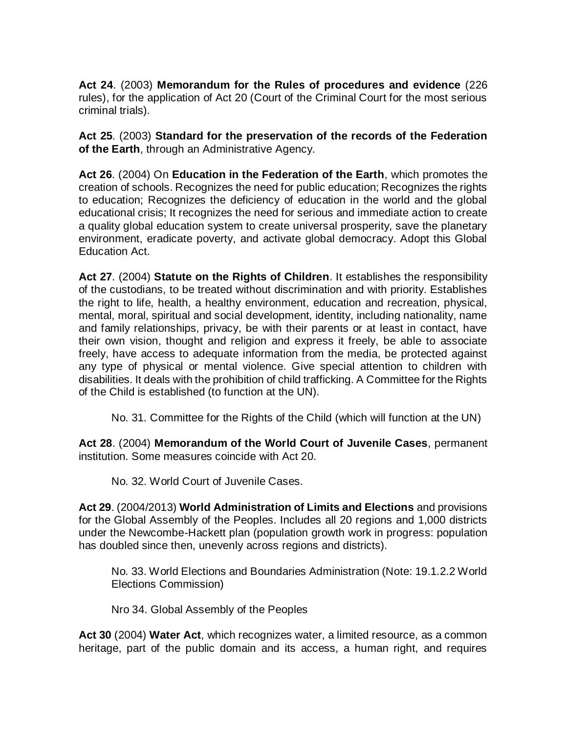**Act 24**. (2003) **Memorandum for the Rules of procedures and evidence** (226 rules), for the application of Act 20 (Court of the Criminal Court for the most serious criminal trials).

**Act 25**. (2003) **Standard for the preservation of the records of the Federation of the Earth**, through an Administrative Agency.

**Act 26**. (2004) On **Education in the Federation of the Earth**, which promotes the creation of schools. Recognizes the need for public education; Recognizes the rights to education; Recognizes the deficiency of education in the world and the global educational crisis; It recognizes the need for serious and immediate action to create a quality global education system to create universal prosperity, save the planetary environment, eradicate poverty, and activate global democracy. Adopt this Global Education Act.

**Act 27**. (2004) **Statute on the Rights of Children**. It establishes the responsibility of the custodians, to be treated without discrimination and with priority. Establishes the right to life, health, a healthy environment, education and recreation, physical, mental, moral, spiritual and social development, identity, including nationality, name and family relationships, privacy, be with their parents or at least in contact, have their own vision, thought and religion and express it freely, be able to associate freely, have access to adequate information from the media, be protected against any type of physical or mental violence. Give special attention to children with disabilities. It deals with the prohibition of child trafficking. A Committee for the Rights of the Child is established (to function at the UN).

No. 31. Committee for the Rights of the Child (which will function at the UN)

**Act 28**. (2004) **Memorandum of the World Court of Juvenile Cases**, permanent institution. Some measures coincide with Act 20.

No. 32. World Court of Juvenile Cases.

**Act 29**. (2004/2013) **World Administration of Limits and Elections** and provisions for the Global Assembly of the Peoples. Includes all 20 regions and 1,000 districts under the Newcombe-Hackett plan (population growth work in progress: population has doubled since then, unevenly across regions and districts).

No. 33. World Elections and Boundaries Administration (Note: 19.1.2.2 World Elections Commission)

Nro 34. Global Assembly of the Peoples

**Act 30** (2004) **Water Act**, which recognizes water, a limited resource, as a common heritage, part of the public domain and its access, a human right, and requires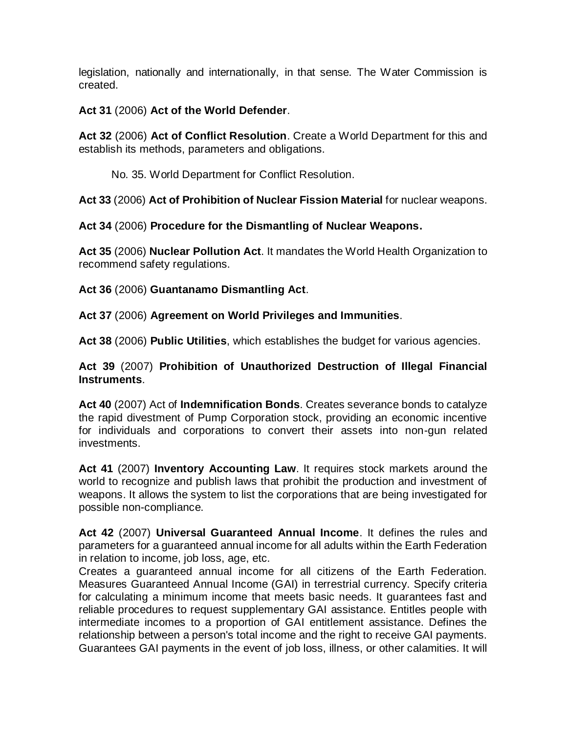legislation, nationally and internationally, in that sense. The Water Commission is created.

**Act 31** (2006) **Act of the World Defender**.

**Act 32** (2006) **Act of Conflict Resolution**. Create a World Department for this and establish its methods, parameters and obligations.

No. 35. World Department for Conflict Resolution.

**Act 33** (2006) **Act of Prohibition of Nuclear Fission Material** for nuclear weapons.

**Act 34** (2006) **Procedure for the Dismantling of Nuclear Weapons.**

**Act 35** (2006) **Nuclear Pollution Act**. It mandates the World Health Organization to recommend safety regulations.

**Act 36** (2006) **Guantanamo Dismantling Act**.

**Act 37** (2006) **Agreement on World Privileges and Immunities**.

**Act 38** (2006) **Public Utilities**, which establishes the budget for various agencies.

**Act 39** (2007) **Prohibition of Unauthorized Destruction of Illegal Financial Instruments**.

**Act 40** (2007) Act of **Indemnification Bonds**. Creates severance bonds to catalyze the rapid divestment of Pump Corporation stock, providing an economic incentive for individuals and corporations to convert their assets into non-gun related investments.

**Act 41** (2007) **Inventory Accounting Law**. It requires stock markets around the world to recognize and publish laws that prohibit the production and investment of weapons. It allows the system to list the corporations that are being investigated for possible non-compliance.

**Act 42** (2007) **Universal Guaranteed Annual Income**. It defines the rules and parameters for a guaranteed annual income for all adults within the Earth Federation in relation to income, job loss, age, etc.

Creates a guaranteed annual income for all citizens of the Earth Federation. Measures Guaranteed Annual Income (GAI) in terrestrial currency. Specify criteria for calculating a minimum income that meets basic needs. It guarantees fast and reliable procedures to request supplementary GAI assistance. Entitles people with intermediate incomes to a proportion of GAI entitlement assistance. Defines the relationship between a person's total income and the right to receive GAI payments. Guarantees GAI payments in the event of job loss, illness, or other calamities. It will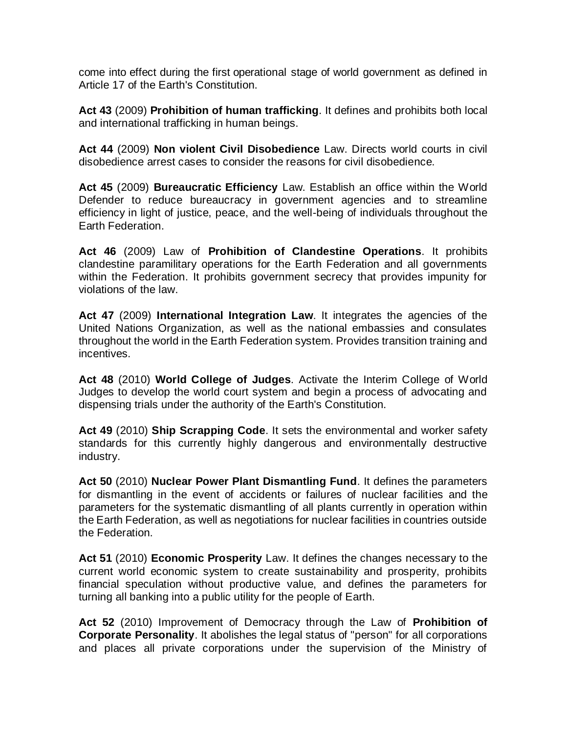come into effect during the first operational stage of world government as defined in Article 17 of the Earth's Constitution.

**Act 43** (2009) **Prohibition of human trafficking**. It defines and prohibits both local and international trafficking in human beings.

**Act 44** (2009) **Non violent Civil Disobedience** Law. Directs world courts in civil disobedience arrest cases to consider the reasons for civil disobedience.

**Act 45** (2009) **Bureaucratic Efficiency** Law. Establish an office within the World Defender to reduce bureaucracy in government agencies and to streamline efficiency in light of justice, peace, and the well-being of individuals throughout the Earth Federation.

**Act 46** (2009) Law of **Prohibition of Clandestine Operations**. It prohibits clandestine paramilitary operations for the Earth Federation and all governments within the Federation. It prohibits government secrecy that provides impunity for violations of the law.

**Act 47** (2009) **International Integration Law**. It integrates the agencies of the United Nations Organization, as well as the national embassies and consulates throughout the world in the Earth Federation system. Provides transition training and incentives.

**Act 48** (2010) **World College of Judges**. Activate the Interim College of World Judges to develop the world court system and begin a process of advocating and dispensing trials under the authority of the Earth's Constitution.

**Act 49** (2010) **Ship Scrapping Code**. It sets the environmental and worker safety standards for this currently highly dangerous and environmentally destructive industry.

**Act 50** (2010) **Nuclear Power Plant Dismantling Fund**. It defines the parameters for dismantling in the event of accidents or failures of nuclear facilities and the parameters for the systematic dismantling of all plants currently in operation within the Earth Federation, as well as negotiations for nuclear facilities in countries outside the Federation.

**Act 51** (2010) **Economic Prosperity** Law. It defines the changes necessary to the current world economic system to create sustainability and prosperity, prohibits financial speculation without productive value, and defines the parameters for turning all banking into a public utility for the people of Earth.

**Act 52** (2010) Improvement of Democracy through the Law of **Prohibition of Corporate Personality**. It abolishes the legal status of "person" for all corporations and places all private corporations under the supervision of the Ministry of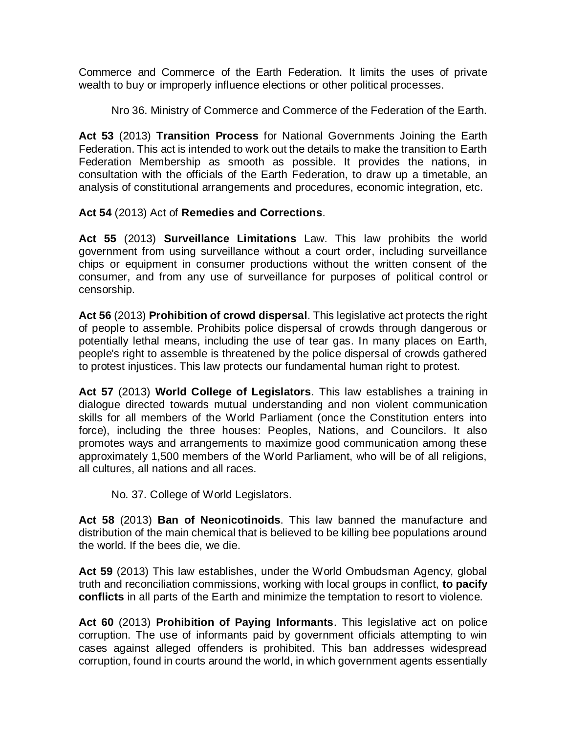Commerce and Commerce of the Earth Federation. It limits the uses of private wealth to buy or improperly influence elections or other political processes.

Nro 36. Ministry of Commerce and Commerce of the Federation of the Earth.

**Act 53** (2013) **Transition Process** for National Governments Joining the Earth Federation. This act is intended to work out the details to make the transition to Earth Federation Membership as smooth as possible. It provides the nations, in consultation with the officials of the Earth Federation, to draw up a timetable, an analysis of constitutional arrangements and procedures, economic integration, etc.

**Act 54** (2013) Act of **Remedies and Corrections**.

**Act 55** (2013) **Surveillance Limitations** Law. This law prohibits the world government from using surveillance without a court order, including surveillance chips or equipment in consumer productions without the written consent of the consumer, and from any use of surveillance for purposes of political control or censorship.

**Act 56** (2013) **Prohibition of crowd dispersal**. This legislative act protects the right of people to assemble. Prohibits police dispersal of crowds through dangerous or potentially lethal means, including the use of tear gas. In many places on Earth, people's right to assemble is threatened by the police dispersal of crowds gathered to protest injustices. This law protects our fundamental human right to protest.

**Act 57** (2013) **World College of Legislators**. This law establishes a training in dialogue directed towards mutual understanding and non violent communication skills for all members of the World Parliament (once the Constitution enters into force), including the three houses: Peoples, Nations, and Councilors. It also promotes ways and arrangements to maximize good communication among these approximately 1,500 members of the World Parliament, who will be of all religions, all cultures, all nations and all races.

No. 37. College of World Legislators.

**Act 58** (2013) **Ban of Neonicotinoids**. This law banned the manufacture and distribution of the main chemical that is believed to be killing bee populations around the world. If the bees die, we die.

**Act 59** (2013) This law establishes, under the World Ombudsman Agency, global truth and reconciliation commissions, working with local groups in conflict, **to pacify conflicts** in all parts of the Earth and minimize the temptation to resort to violence.

**Act 60** (2013) **Prohibition of Paying Informants**. This legislative act on police corruption. The use of informants paid by government officials attempting to win cases against alleged offenders is prohibited. This ban addresses widespread corruption, found in courts around the world, in which government agents essentially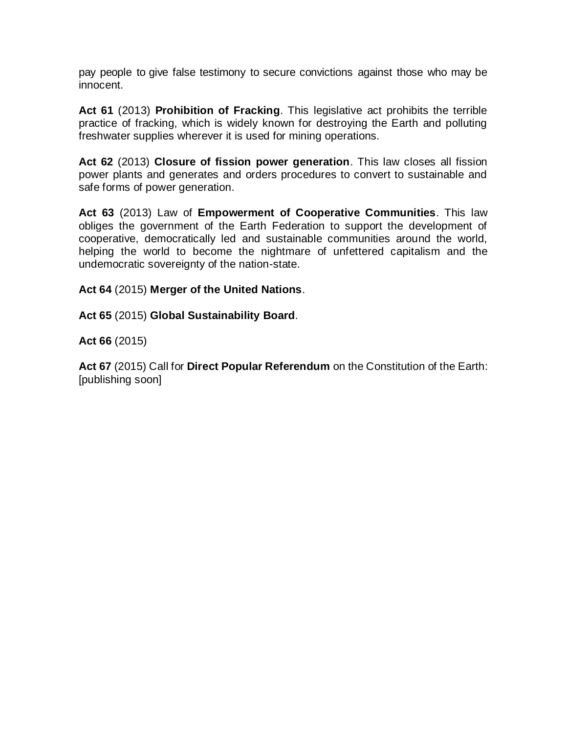pay people to give false testimony to secure convictions against those who may be innocent.

**Act 61** (2013) **Prohibition of Fracking**. This legislative act prohibits the terrible practice of fracking, which is widely known for destroying the Earth and polluting freshwater supplies wherever it is used for mining operations.

**Act 62** (2013) **Closure of fission power generation**. This law closes all fission power plants and generates and orders procedures to convert to sustainable and safe forms of power generation.

**Act 63** (2013) Law of **Empowerment of Cooperative Communities**. This law obliges the government of the Earth Federation to support the development of cooperative, democratically led and sustainable communities around the world, helping the world to become the nightmare of unfettered capitalism and the undemocratic sovereignty of the nation-state.

**Act 64** (2015) **Merger of the United Nations**.

**Act 65** (2015) **Global Sustainability Board**.

**Act 66** (2015)

**Act 67** (2015) Call for **Direct Popular Referendum** on the Constitution of the Earth: [publishing soon]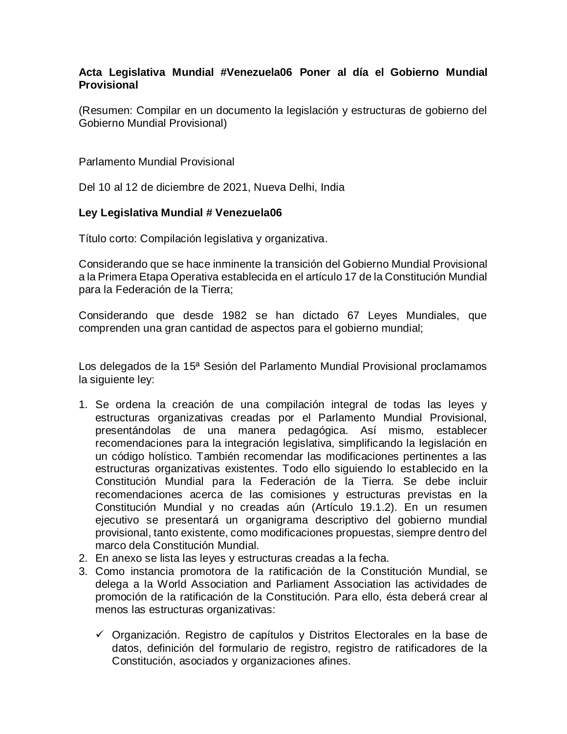## **Acta Legislativa Mundial #Venezuela06 Poner al día el Gobierno Mundial Provisional**

(Resumen: Compilar en un documento la legislación y estructuras de gobierno del Gobierno Mundial Provisional)

Parlamento Mundial Provisional

Del 10 al 12 de diciembre de 2021, Nueva Delhi, India

## **Ley Legislativa Mundial # Venezuela06**

Título corto: Compilación legislativa y organizativa.

Considerando que se hace inminente la transición del Gobierno Mundial Provisional a la Primera Etapa Operativa establecida en el artículo 17 de la Constitución Mundial para la Federación de la Tierra;

Considerando que desde 1982 se han dictado 67 Leyes Mundiales, que comprenden una gran cantidad de aspectos para el gobierno mundial;

Los delegados de la 15ª Sesión del Parlamento Mundial Provisional proclamamos la siguiente ley:

- 1. Se ordena la creación de una compilación integral de todas las leyes y estructuras organizativas creadas por el Parlamento Mundial Provisional, presentándolas de una manera pedagógica. Así mismo, establecer recomendaciones para la integración legislativa, simplificando la legislación en un código holístico. También recomendar las modificaciones pertinentes a las estructuras organizativas existentes. Todo ello siguiendo lo establecido en la Constitución Mundial para la Federación de la Tierra. Se debe incluir recomendaciones acerca de las comisiones y estructuras previstas en la Constitución Mundial y no creadas aún (Artículo 19.1.2). En un resumen ejecutivo se presentará un organigrama descriptivo del gobierno mundial provisional, tanto existente, como modificaciones propuestas, siempre dentro del marco dela Constitución Mundial.
- 2. En anexo se lista las leyes y estructuras creadas a la fecha.
- 3. Como instancia promotora de la ratificación de la Constitución Mundial, se delega a la World Association and Parliament Association las actividades de promoción de la ratificación de la Constitución. Para ello, ésta deberá crear al menos las estructuras organizativas:
	- $\checkmark$  Organización. Registro de capítulos y Distritos Electorales en la base de datos, definición del formulario de registro, registro de ratificadores de la Constitución, asociados y organizaciones afines.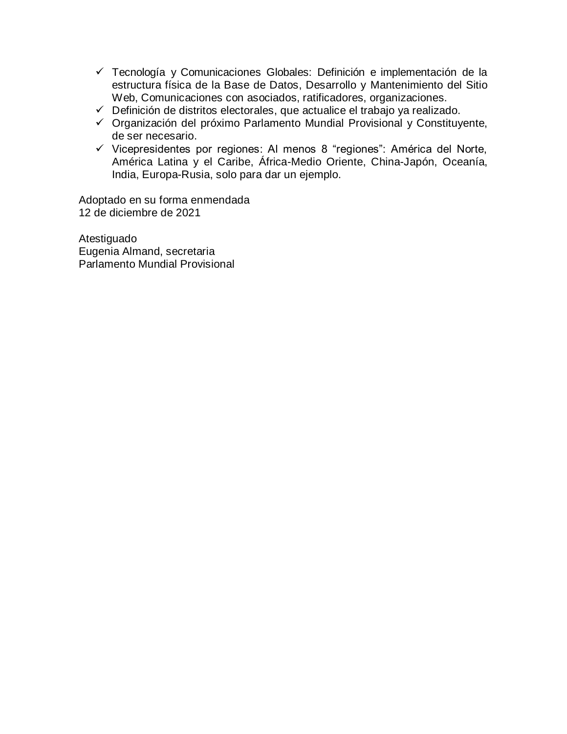- Tecnología y Comunicaciones Globales: Definición e implementación de la estructura física de la Base de Datos, Desarrollo y Mantenimiento del Sitio Web, Comunicaciones con asociados, ratificadores, organizaciones.
- $\checkmark$  Definición de distritos electorales, que actualice el trabajo ya realizado.
- $\checkmark$  Organización del próximo Parlamento Mundial Provisional y Constituyente, de ser necesario.
- $\checkmark$  Vicepresidentes por regiones: Al menos 8 "regiones": América del Norte, América Latina y el Caribe, África-Medio Oriente, China-Japón, Oceanía, India, Europa-Rusia, solo para dar un ejemplo.

Adoptado en su forma enmendada 12 de diciembre de 2021

Atestiguado Eugenia Almand, secretaria Parlamento Mundial Provisional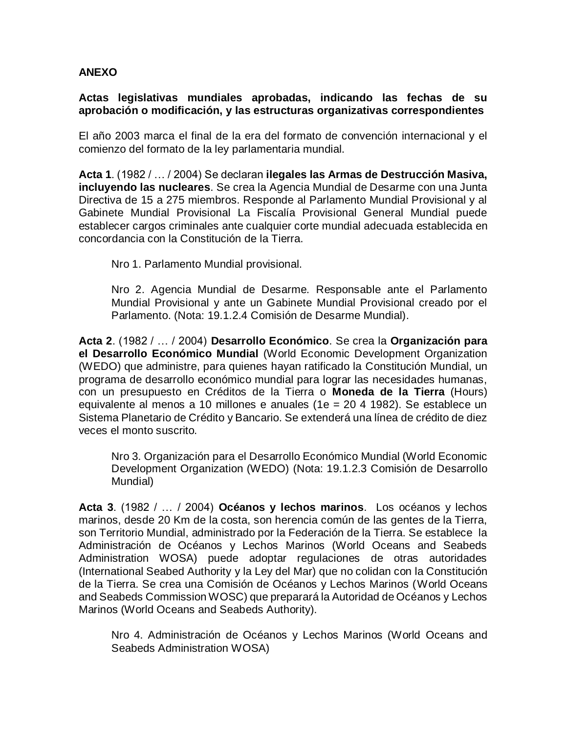## **ANEXO**

**Actas legislativas mundiales aprobadas, indicando las fechas de su aprobación o modificación, y las estructuras organizativas correspondientes**

El año 2003 marca el final de la era del formato de convención internacional y el comienzo del formato de la ley parlamentaria mundial.

**Acta 1**. (1982 / … / 2004) Se declaran **ilegales las Armas de Destrucción Masiva, incluyendo las nucleares**. Se crea la Agencia Mundial de Desarme con una Junta Directiva de 15 a 275 miembros. Responde al Parlamento Mundial Provisional y al Gabinete Mundial Provisional La Fiscalía Provisional General Mundial puede establecer cargos criminales ante cualquier corte mundial adecuada establecida en concordancia con la Constitución de la Tierra.

Nro 1. Parlamento Mundial provisional.

Nro 2. Agencia Mundial de Desarme. Responsable ante el Parlamento Mundial Provisional y ante un Gabinete Mundial Provisional creado por el Parlamento. (Nota: 19.1.2.4 Comisión de Desarme Mundial).

**Acta 2**. (1982 / … / 2004) **Desarrollo Económico**. Se crea la **Organización para el Desarrollo Económico Mundial** (World Economic Development Organization (WEDO) que administre, para quienes hayan ratificado la Constitución Mundial, un programa de desarrollo económico mundial para lograr las necesidades humanas, con un presupuesto en Créditos de la Tierra o **Moneda de la Tierra** (Hours) equivalente al menos a 10 millones e anuales (1e = 20 4 1982). Se establece un Sistema Planetario de Crédito y Bancario. Se extenderá una línea de crédito de diez veces el monto suscrito.

Nro 3. Organización para el Desarrollo Económico Mundial (World Economic Development Organization (WEDO) (Nota: 19.1.2.3 Comisión de Desarrollo Mundial)

**Acta 3**. (1982 / … / 2004) **Océanos y lechos marinos**. Los océanos y lechos marinos, desde 20 Km de la costa, son herencia común de las gentes de la Tierra, son Territorio Mundial, administrado por la Federación de la Tierra. Se establece la Administración de Océanos y Lechos Marinos (World Oceans and Seabeds Administration WOSA) puede adoptar regulaciones de otras autoridades [\(International Seabed Authority](http://www.isa.org.jm/) y la Ley del Mar) que no colidan con la Constitución de la Tierra. Se crea una Comisión de Océanos y Lechos Marinos (World Oceans and Seabeds Commission WOSC) que preparará la Autoridad de Océanos y Lechos Marinos (World Oceans and Seabeds Authority).

Nro 4. Administración de Océanos y Lechos Marinos (World Oceans and Seabeds Administration WOSA)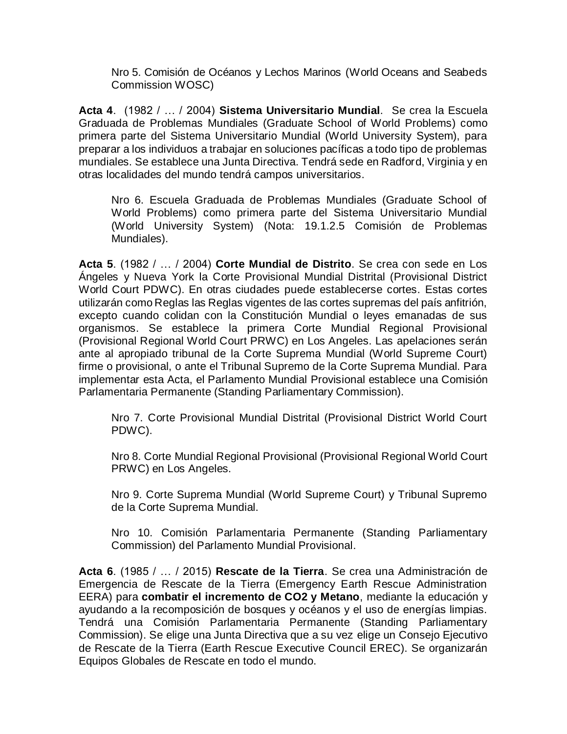Nro 5. Comisión de Océanos y Lechos Marinos (World Oceans and Seabeds Commission WOSC)

**Acta 4**. (1982 / … / 2004) **Sistema Universitario Mundial**. Se crea la Escuela Graduada de Problemas Mundiales (Graduate School of World Problems) como primera parte del Sistema Universitario Mundial (World University System), para preparar a los individuos a trabajar en soluciones pacíficas a todo tipo de problemas mundiales. Se establece una Junta Directiva. Tendrá sede en Radford, Virginia y en otras localidades del mundo tendrá campos universitarios.

Nro 6. Escuela Graduada de Problemas Mundiales (Graduate School of World Problems) como primera parte del Sistema Universitario Mundial (World University System) (Nota: 19.1.2.5 Comisión de Problemas Mundiales).

**Acta 5**. (1982 / … / 2004) **Corte Mundial de Distrito**. Se crea con sede en Los Ángeles y Nueva York la Corte Provisional Mundial Distrital (Provisional District World Court PDWC). En otras ciudades puede establecerse cortes. Estas cortes utilizarán como Reglas las Reglas vigentes de las cortes supremas del país anfitrión, excepto cuando colidan con la Constitución Mundial o leyes emanadas de sus organismos. Se establece la primera Corte Mundial Regional Provisional (Provisional Regional World Court PRWC) en Los Angeles. Las apelaciones serán ante al apropiado tribunal de la Corte Suprema Mundial (World Supreme Court) firme o provisional, o ante el Tribunal Supremo de la Corte Suprema Mundial. Para implementar esta Acta, el Parlamento Mundial Provisional establece una Comisión Parlamentaria Permanente (Standing Parliamentary Commission).

Nro 7. Corte Provisional Mundial Distrital (Provisional District World Court PDWC).

Nro 8. Corte Mundial Regional Provisional (Provisional Regional World Court PRWC) en Los Angeles.

Nro 9. Corte Suprema Mundial (World Supreme Court) y Tribunal Supremo de la Corte Suprema Mundial.

Nro 10. Comisión Parlamentaria Permanente (Standing Parliamentary Commission) del Parlamento Mundial Provisional.

**Acta 6**. (1985 / … / 2015) **Rescate de la Tierra**. Se crea una Administración de Emergencia de Rescate de la Tierra (Emergency Earth Rescue Administration EERA) para **combatir el incremento de CO2 y Metano**, mediante la educación y ayudando a la recomposición de bosques y océanos y el uso de energías limpias. Tendrá una Comisión Parlamentaria Permanente (Standing Parliamentary Commission). Se elige una Junta Directiva que a su vez elige un Consejo Ejecutivo de Rescate de la Tierra (Earth Rescue Executive Council EREC). Se organizarán Equipos Globales de Rescate en todo el mundo.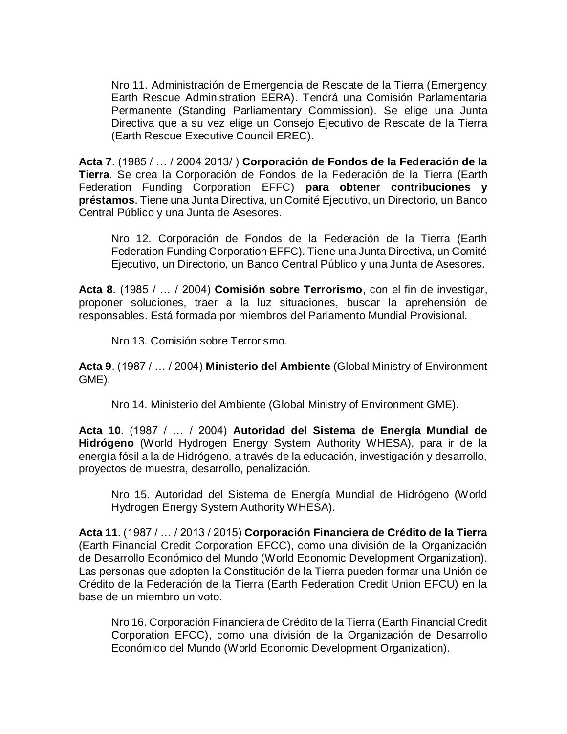Nro 11. Administración de Emergencia de Rescate de la Tierra (Emergency Earth Rescue Administration EERA). Tendrá una Comisión Parlamentaria Permanente (Standing Parliamentary Commission). Se elige una Junta Directiva que a su vez elige un Consejo Ejecutivo de Rescate de la Tierra (Earth Rescue Executive Council EREC).

**Acta 7**. (1985 / … / 2004 2013/ ) **Corporación de Fondos de la Federación de la Tierra**. Se crea la Corporación de Fondos de la Federación de la Tierra (Earth Federation Funding Corporation EFFC) **para obtener contribuciones y préstamos**. Tiene una Junta Directiva, un Comité Ejecutivo, un Directorio, un Banco Central Público y una Junta de Asesores.

Nro 12. Corporación de Fondos de la Federación de la Tierra (Earth Federation Funding Corporation EFFC). Tiene una Junta Directiva, un Comité Ejecutivo, un Directorio, un Banco Central Público y una Junta de Asesores.

**Acta 8**. (1985 / … / 2004) **Comisión sobre Terrorismo**, con el fin de investigar, proponer soluciones, traer a la luz situaciones, buscar la aprehensión de responsables. Está formada por miembros del Parlamento Mundial Provisional.

Nro 13. Comisión sobre Terrorismo.

**Acta 9**. (1987 / … / 2004) **Ministerio del Ambiente** (Global Ministry of Environment GME).

Nro 14. Ministerio del Ambiente (Global Ministry of Environment GME).

**Acta 10**. (1987 / … / 2004) **Autoridad del Sistema de Energía Mundial de Hidrógeno** (World Hydrogen Energy System Authority WHESA), para ir de la energía fósil a la de Hidrógeno, a través de la educación, investigación y desarrollo, proyectos de muestra, desarrollo, penalización.

Nro 15. Autoridad del Sistema de Energía Mundial de Hidrógeno (World Hydrogen Energy System Authority WHESA).

**Acta 11**. (1987 / … / 2013 / 2015) **Corporación Financiera de Crédito de la Tierra** (Earth Financial Credit Corporation EFCC), como una división de la Organización de Desarrollo Económico del Mundo (World Economic Development Organization). Las personas que adopten la Constitución de la Tierra pueden formar una Unión de Crédito de la Federación de la Tierra (Earth Federation Credit Union EFCU) en la base de un miembro un voto.

Nro 16. Corporación Financiera de Crédito de la Tierra (Earth Financial Credit Corporation EFCC), como una división de la Organización de Desarrollo Económico del Mundo (World Economic Development Organization).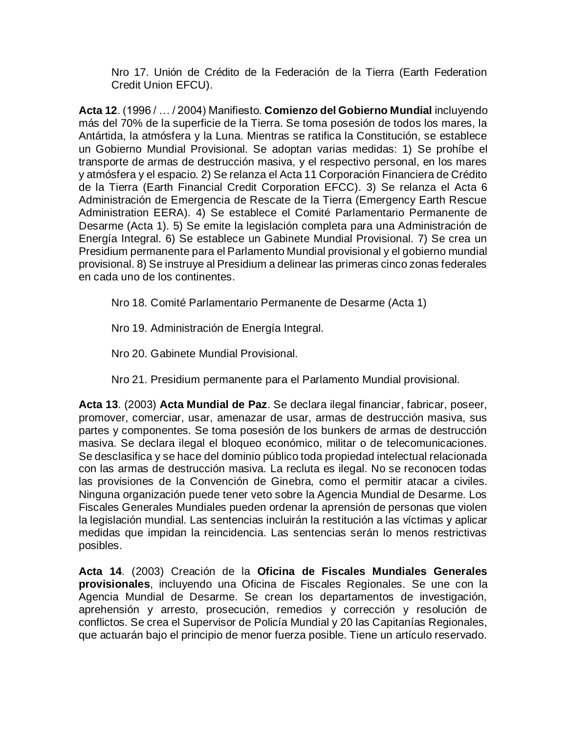Nro 17. Unión de Crédito de la Federación de la Tierra (Earth Federation Credit Union EFCU).

**Acta 12**. (1996 / … / 2004) Manifiesto. **Comienzo del Gobierno Mundial** incluyendo más del 70% de la superficie de la Tierra. Se toma posesión de todos los mares, la Antártida, la atmósfera y la Luna. Mientras se ratifica la Constitución, se establece un Gobierno Mundial Provisional. Se adoptan varias medidas: 1) Se prohíbe el transporte de armas de destrucción masiva, y el respectivo personal, en los mares y atmósfera y el espacio. 2) Se relanza el Acta 11 Corporación Financiera de Crédito de la Tierra (Earth Financial Credit Corporation EFCC). 3) Se relanza el Acta 6 Administración de Emergencia de Rescate de la Tierra (Emergency Earth Rescue Administration EERA). 4) Se establece el Comité Parlamentario Permanente de Desarme (Acta 1). 5) Se emite la legislación completa para una Administración de Energía Integral. 6) Se establece un Gabinete Mundial Provisional. 7) Se crea un Presidium permanente para el Parlamento Mundial provisional y el gobierno mundial provisional. 8) Se instruye al Presidium a delinear las primeras cinco zonas federales en cada uno de los continentes.

Nro 18. Comité Parlamentario Permanente de Desarme (Acta 1)

Nro 19. Administración de Energía Integral.

Nro 20. Gabinete Mundial Provisional.

Nro 21. Presidium permanente para el Parlamento Mundial provisional.

**Acta 13**. (2003) **Acta Mundial de Paz**. Se declara ilegal financiar, fabricar, poseer, promover, comerciar, usar, amenazar de usar, armas de destrucción masiva, sus partes y componentes. Se toma posesión de los bunkers de armas de destrucción masiva. Se declara ilegal el bloqueo económico, militar o de telecomunicaciones. Se desclasifica y se hace del dominio público toda propiedad intelectual relacionada con las armas de destrucción masiva. La recluta es ilegal. No se reconocen todas las provisiones de la Convención de Ginebra, como el permitir atacar a civiles. Ninguna organización puede tener veto sobre la Agencia Mundial de Desarme. Los Fiscales Generales Mundiales pueden ordenar la aprensión de personas que violen la legislación mundial. Las sentencias incluirán la restitución a las víctimas y aplicar medidas que impidan la reincidencia. Las sentencias serán lo menos restrictivas posibles.

**Acta 14**. (2003) Creación de la **Oficina de Fiscales Mundiales Generales provisionales**, incluyendo una Oficina de Fiscales Regionales. Se une con la Agencia Mundial de Desarme. Se crean los departamentos de investigación, aprehensión y arresto, prosecución, remedios y corrección y resolución de conflictos. Se crea el Supervisor de Policía Mundial y 20 las Capitanías Regionales, que actuarán bajo el principio de menor fuerza posible. Tiene un artículo reservado.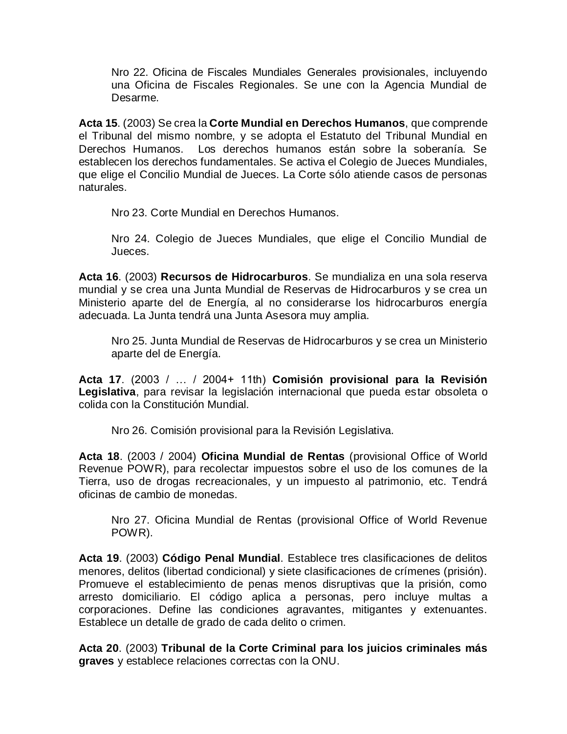Nro 22. Oficina de Fiscales Mundiales Generales provisionales, incluyendo una Oficina de Fiscales Regionales. Se une con la Agencia Mundial de Desarme.

**Acta 15**. (2003) Se crea la **Corte Mundial en Derechos Humanos**, que comprende el Tribunal del mismo nombre, y se adopta el Estatuto del Tribunal Mundial en Derechos Humanos. Los derechos humanos están sobre la soberanía. Se establecen los derechos fundamentales. Se activa el Colegio de Jueces Mundiales, que elige el Concilio Mundial de Jueces. La Corte sólo atiende casos de personas naturales.

Nro 23. Corte Mundial en Derechos Humanos.

Nro 24. Colegio de Jueces Mundiales, que elige el Concilio Mundial de Jueces.

**Acta 16**. (2003) **Recursos de Hidrocarburos**. Se mundializa en una sola reserva mundial y se crea una Junta Mundial de Reservas de Hidrocarburos y se crea un Ministerio aparte del de Energía, al no considerarse los hidrocarburos energía adecuada. La Junta tendrá una Junta Asesora muy amplia.

Nro 25. Junta Mundial de Reservas de Hidrocarburos y se crea un Ministerio aparte del de Energía.

**Acta 17**. (2003 / … / 2004+ 11th) **Comisión provisional para la Revisión Legislativa**, para revisar la legislación internacional que pueda estar obsoleta o colida con la Constitución Mundial.

Nro 26. Comisión provisional para la Revisión Legislativa.

**Acta 18**. (2003 / 2004) **Oficina Mundial de Rentas** (provisional Office of World Revenue POWR), para recolectar impuestos sobre el uso de los comunes de la Tierra, uso de drogas recreacionales, y un impuesto al patrimonio, etc. Tendrá oficinas de cambio de monedas.

Nro 27. Oficina Mundial de Rentas (provisional Office of World Revenue POWR).

**Acta 19**. (2003) **Código Penal Mundial**. Establece tres clasificaciones de delitos menores, delitos (libertad condicional) y siete clasificaciones de crímenes (prisión). Promueve el establecimiento de penas menos disruptivas que la prisión, como arresto domiciliario. El código aplica a personas, pero incluye multas a corporaciones. Define las condiciones agravantes, mitigantes y extenuantes. Establece un detalle de grado de cada delito o crimen.

**Acta 20**. (2003) **Tribunal de la Corte Criminal para los juicios criminales más graves** y establece relaciones correctas con la ONU.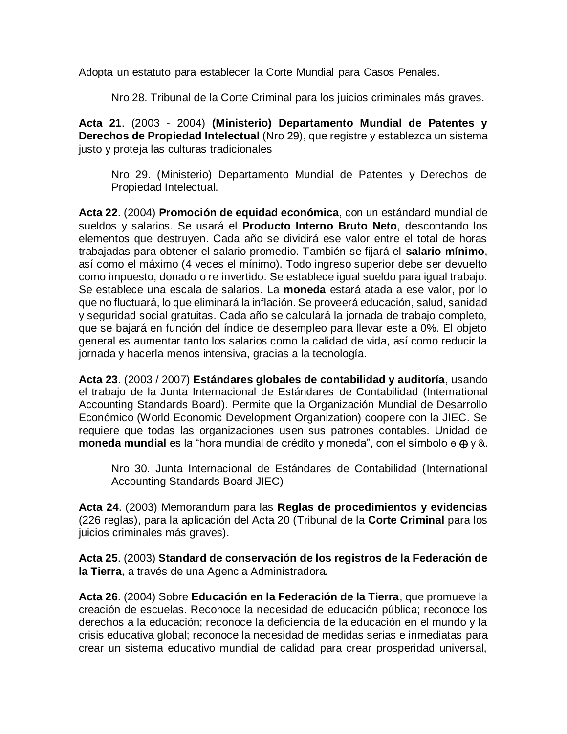Adopta un estatuto para establecer la Corte Mundial para Casos Penales.

Nro 28. Tribunal de la Corte Criminal para los juicios criminales más graves.

**Acta 21**. (2003 - 2004) **(Ministerio) Departamento Mundial de Patentes y Derechos de Propiedad Intelectual** (Nro 29), que registre y establezca un sistema justo y proteja las culturas tradicionales

Nro 29. (Ministerio) Departamento Mundial de Patentes y Derechos de Propiedad Intelectual.

**Acta 22**. (2004) **Promoción de equidad económica**, con un estándard mundial de sueldos y salarios. Se usará el **Producto Interno Bruto Neto**, descontando los elementos que destruyen. Cada año se dividirá ese valor entre el total de horas trabajadas para obtener el salario promedio. También se fijará el **salario mínimo**, así como el máximo (4 veces el mínimo). Todo ingreso superior debe ser devuelto como impuesto, donado o re invertido. Se establece igual sueldo para igual trabajo. Se establece una escala de salarios. La **moneda** estará atada a ese valor, por lo que no fluctuará, lo que eliminará la inflación. Se proveerá educación, salud, sanidad y seguridad social gratuitas. Cada año se calculará la jornada de trabajo completo, que se bajará en función del índice de desempleo para llevar este a 0%. El objeto general es aumentar tanto los salarios como la calidad de vida, así como reducir la jornada y hacerla menos intensiva, gracias a la tecnología.

**Acta 23**. (2003 / 2007) **Estándares globales de contabilidad y auditoría**, usando el trabajo de la Junta Internacional de Estándares de Contabilidad [\(International](http://www.iasb.org/)  [Accounting Standards Board\)](http://www.iasb.org/). Permite que la Organización Mundial de Desarrollo Económico (World Economic Development Organization) coopere con la JIEC. Se requiere que todas las organizaciones usen sus patrones contables. Unidad de **moneda mundial** es la "hora mundial de crédito y moneda", con el símbolo ө ⊕ y &.

Nro 30. Junta Internacional de Estándares de Contabilidad [\(International](http://www.iasb.org/)  [Accounting Standards Board](http://www.iasb.org/) JIEC)

**Acta 24**. (2003) Memorandum para las **Reglas de procedimientos y evidencias** (226 reglas), para la aplicación del Acta 20 (Tribunal de la **Corte Criminal** para los juicios criminales más graves).

**Acta 25**. (2003) **Standard de conservación de los registros de la Federación de la Tierra**, a través de una Agencia Administradora.

**Acta 26**. (2004) Sobre **Educación en la Federación de la Tierra**, que promueve la creación de escuelas. Reconoce la necesidad de educación pública; reconoce los derechos a la educación; reconoce la deficiencia de la educación en el mundo y la crisis educativa global; reconoce la necesidad de medidas serias e inmediatas para crear un sistema educativo mundial de calidad para crear prosperidad universal,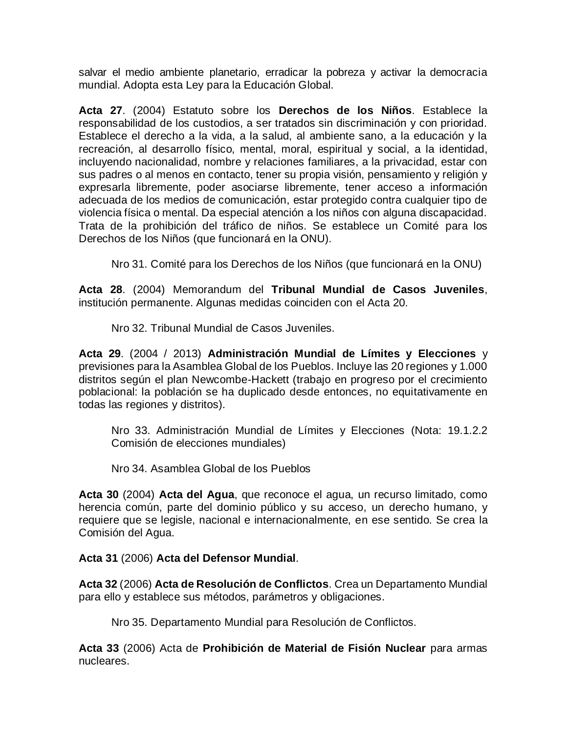salvar el medio ambiente planetario, erradicar la pobreza y activar la democracia mundial. Adopta esta Ley para la Educación Global.

**Acta 27**. (2004) Estatuto sobre los **Derechos de los Niños**. Establece la responsabilidad de los custodios, a ser tratados sin discriminación y con prioridad. Establece el derecho a la vida, a la salud, al ambiente sano, a la educación y la recreación, al desarrollo físico, mental, moral, espiritual y social, a la identidad, incluyendo nacionalidad, nombre y relaciones familiares, a la privacidad, estar con sus padres o al menos en contacto, tener su propia visión, pensamiento y religión y expresarla libremente, poder asociarse libremente, tener acceso a información adecuada de los medios de comunicación, estar protegido contra cualquier tipo de violencia física o mental. Da especial atención a los niños con alguna discapacidad. Trata de la prohibición del tráfico de niños. Se establece un Comité para los Derechos de los Niños (que funcionará en la ONU).

Nro 31. Comité para los Derechos de los Niños (que funcionará en la ONU)

**Acta 28**. (2004) Memorandum del **Tribunal Mundial de Casos Juveniles**, institución permanente. Algunas medidas coinciden con el Acta 20.

Nro 32. Tribunal Mundial de Casos Juveniles.

**Acta 29**. (2004 / 2013) **Administración Mundial de Límites y Elecciones** y previsiones para la Asamblea Global de los Pueblos. Incluye las 20 regiones y 1.000 distritos según el plan Newcombe-Hackett (trabajo en progreso por el crecimiento poblacional: la población se ha duplicado desde entonces, no equitativamente en todas las regiones y distritos).

Nro 33. Administración Mundial de Límites y Elecciones (Nota: 19.1.2.2 Comisión de elecciones mundiales)

Nro 34. Asamblea Global de los Pueblos

**Acta 30** (2004) **Acta del Agua**, que reconoce el agua, un recurso limitado, como herencia común, parte del dominio público y su acceso, un derecho humano, y requiere que se legisle, nacional e internacionalmente, en ese sentido. Se crea la Comisión del Agua.

**Acta 31** (2006) **Acta del Defensor Mundial**.

**Acta 32** (2006) **Acta de Resolución de Conflictos**. Crea un Departamento Mundial para ello y establece sus métodos, parámetros y obligaciones.

Nro 35. Departamento Mundial para Resolución de Conflictos.

**Acta 33** (2006) Acta de **Prohibición de Material de Fisión Nuclear** para armas nucleares.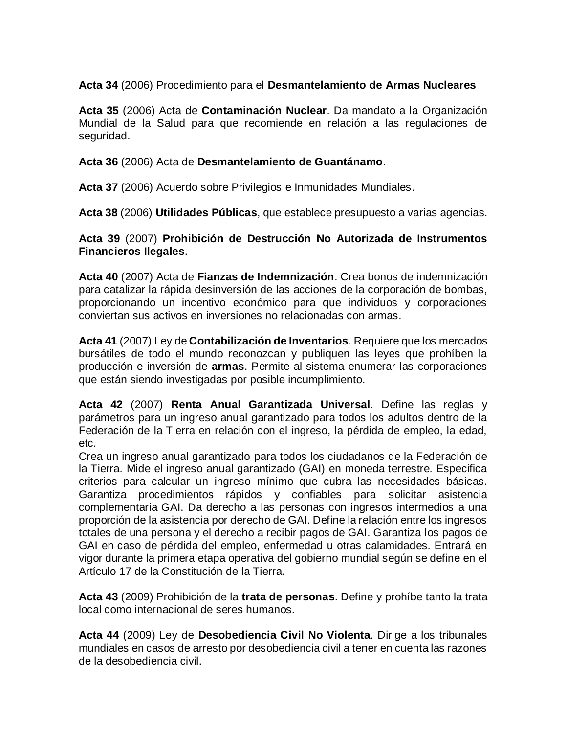### **Acta 34** (2006) Procedimiento para el **Desmantelamiento de Armas Nucleares**

**Acta 35** (2006) Acta de **Contaminación Nuclear**. Da mandato a la Organización Mundial de la Salud para que recomiende en relación a las regulaciones de seguridad.

#### **Acta 36** (2006) Acta de **Desmantelamiento de Guantánamo**.

**Acta 37** (2006) Acuerdo sobre Privilegios e Inmunidades Mundiales.

**Acta 38** (2006) **Utilidades Públicas**, que establece presupuesto a varias agencias.

#### **Acta 39** (2007) **Prohibición de Destrucción No Autorizada de Instrumentos Financieros Ilegales**.

**Acta 40** (2007) Acta de **Fianzas de Indemnización**. Crea bonos de indemnización para catalizar la rápida desinversión de las acciones de la corporación de bombas, proporcionando un incentivo económico para que individuos y corporaciones conviertan sus activos en inversiones no relacionadas con armas.

**Acta 41** (2007) Ley de **Contabilización de Inventarios**. Requiere que los mercados bursátiles de todo el mundo reconozcan y publiquen las leyes que prohíben la producción e inversión de **armas**. Permite al sistema enumerar las corporaciones que están siendo investigadas por posible incumplimiento.

**Acta 42** (2007) **Renta Anual Garantizada Universal**. Define las reglas y parámetros para un ingreso anual garantizado para todos los adultos dentro de la Federación de la Tierra en relación con el ingreso, la pérdida de empleo, la edad, etc.

Crea un ingreso anual garantizado para todos los ciudadanos de la Federación de la Tierra. Mide el ingreso anual garantizado (GAI) en moneda terrestre. Especifica criterios para calcular un ingreso mínimo que cubra las necesidades básicas. Garantiza procedimientos rápidos y confiables para solicitar asistencia complementaria GAI. Da derecho a las personas con ingresos intermedios a una proporción de la asistencia por derecho de GAI. Define la relación entre los ingresos totales de una persona y el derecho a recibir pagos de GAI. Garantiza los pagos de GAI en caso de pérdida del empleo, enfermedad u otras calamidades. Entrará en vigor durante la primera etapa operativa del gobierno mundial según se define en el Artículo 17 de la Constitución de la Tierra.

**Acta 43** (2009) Prohibición de la **trata de personas**. Define y prohíbe tanto la trata local como internacional de seres humanos.

**Acta 44** (2009) Ley de **Desobediencia Civil No Violenta**. Dirige a los tribunales mundiales en casos de arresto por desobediencia civil a tener en cuenta las razones de la desobediencia civil.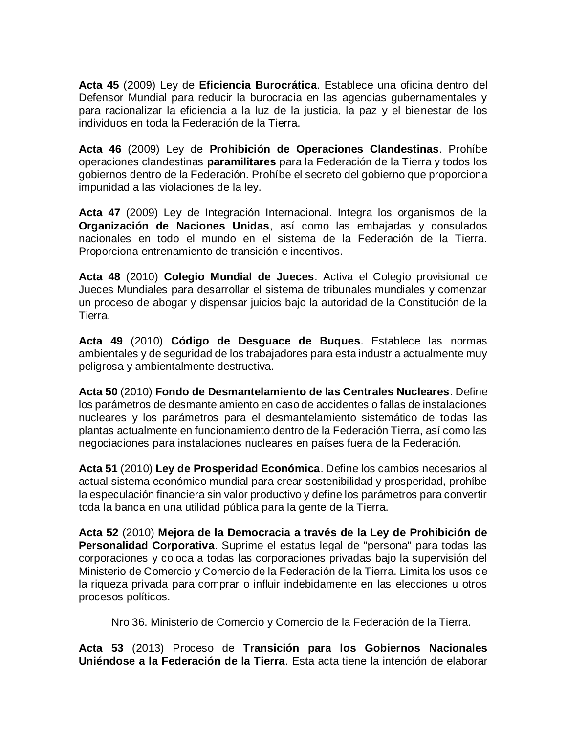**Acta 45** (2009) Ley de **Eficiencia Burocrática**. Establece una oficina dentro del Defensor Mundial para reducir la burocracia en las agencias gubernamentales y para racionalizar la eficiencia a la luz de la justicia, la paz y el bienestar de los individuos en toda la Federación de la Tierra.

**Acta 46** (2009) Ley de **Prohibición de Operaciones Clandestinas**. Prohíbe operaciones clandestinas **paramilitares** para la Federación de la Tierra y todos los gobiernos dentro de la Federación. Prohíbe el secreto del gobierno que proporciona impunidad a las violaciones de la ley.

**Acta 47** (2009) Ley de Integración Internacional. Integra los organismos de la **Organización de Naciones Unidas**, así como las embajadas y consulados nacionales en todo el mundo en el sistema de la Federación de la Tierra. Proporciona entrenamiento de transición e incentivos.

**Acta 48** (2010) **Colegio Mundial de Jueces**. Activa el Colegio provisional de Jueces Mundiales para desarrollar el sistema de tribunales mundiales y comenzar un proceso de abogar y dispensar juicios bajo la autoridad de la Constitución de la Tierra.

**Acta 49** (2010) **Código de Desguace de Buques**. Establece las normas ambientales y de seguridad de los trabajadores para esta industria actualmente muy peligrosa y ambientalmente destructiva.

**Acta 50** (2010) **Fondo de Desmantelamiento de las Centrales Nucleares**. Define los parámetros de desmantelamiento en caso de accidentes o fallas de instalaciones nucleares y los parámetros para el desmantelamiento sistemático de todas las plantas actualmente en funcionamiento dentro de la Federación Tierra, así como las negociaciones para instalaciones nucleares en países fuera de la Federación.

**Acta 51** (2010) **Ley de Prosperidad Económica**. Define los cambios necesarios al actual sistema económico mundial para crear sostenibilidad y prosperidad, prohíbe la especulación financiera sin valor productivo y define los parámetros para convertir toda la banca en una utilidad pública para la gente de la Tierra.

**Acta 52** (2010) **Mejora de la Democracia a través de la Ley de Prohibición de Personalidad Corporativa**. Suprime el estatus legal de "persona" para todas las corporaciones y coloca a todas las corporaciones privadas bajo la supervisión del Ministerio de Comercio y Comercio de la Federación de la Tierra. Limita los usos de la riqueza privada para comprar o influir indebidamente en las elecciones u otros procesos políticos.

Nro 36. Ministerio de Comercio y Comercio de la Federación de la Tierra.

**Acta 53** (2013) Proceso de **Transición para los Gobiernos Nacionales Uniéndose a la Federación de la Tierra**. Esta acta tiene la intención de elaborar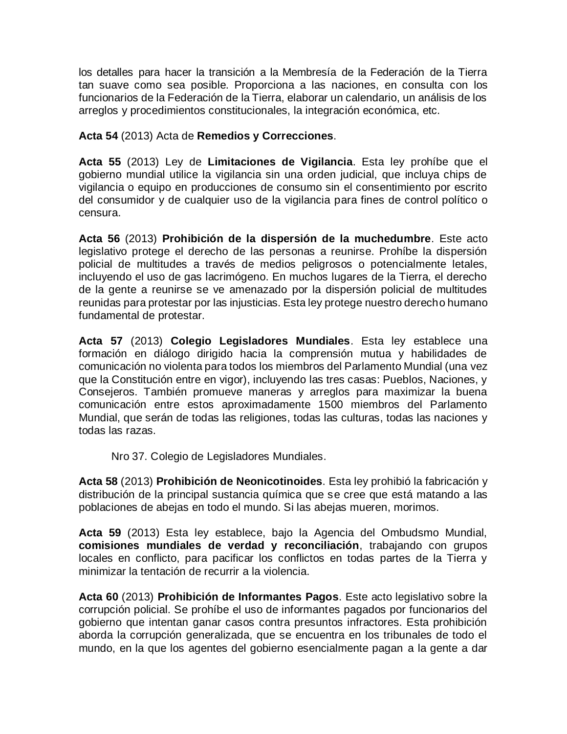los detalles para hacer la transición a la Membresía de la Federación de la Tierra tan suave como sea posible. Proporciona a las naciones, en consulta con los funcionarios de la Federación de la Tierra, elaborar un calendario, un análisis de los arreglos y procedimientos constitucionales, la integración económica, etc.

**Acta 54** (2013) Acta de **Remedios y Correcciones**.

**Acta 55** (2013) Ley de **Limitaciones de Vigilancia**. Esta ley prohíbe que el gobierno mundial utilice la vigilancia sin una orden judicial, que incluya chips de vigilancia o equipo en producciones de consumo sin el consentimiento por escrito del consumidor y de cualquier uso de la vigilancia para fines de control político o censura.

**Acta 56** (2013) **Prohibición de la dispersión de la muchedumbre**. Este acto legislativo protege el derecho de las personas a reunirse. Prohíbe la dispersión policial de multitudes a través de medios peligrosos o potencialmente letales, incluyendo el uso de gas lacrimógeno. En muchos lugares de la Tierra, el derecho de la gente a reunirse se ve amenazado por la dispersión policial de multitudes reunidas para protestar por las injusticias. Esta ley protege nuestro derecho humano fundamental de protestar.

**Acta 57** (2013) **Colegio Legisladores Mundiales**. Esta ley establece una formación en diálogo dirigido hacia la comprensión mutua y habilidades de comunicación no violenta para todos los miembros del Parlamento Mundial (una vez que la Constitución entre en vigor), incluyendo las tres casas: Pueblos, Naciones, y Consejeros. También promueve maneras y arreglos para maximizar la buena comunicación entre estos aproximadamente 1500 miembros del Parlamento Mundial, que serán de todas las religiones, todas las culturas, todas las naciones y todas las razas.

Nro 37. Colegio de Legisladores Mundiales.

**Acta 58** (2013) **Prohibición de Neonicotinoides**. Esta ley prohibió la fabricación y distribución de la principal sustancia química que se cree que está matando a las poblaciones de abejas en todo el mundo. Si las abejas mueren, morimos.

**Acta 59** (2013) Esta ley establece, bajo la Agencia del Ombudsmo Mundial, **comisiones mundiales de verdad y reconciliación**, trabajando con grupos locales en conflicto, para pacificar los conflictos en todas partes de la Tierra y minimizar la tentación de recurrir a la violencia.

**Acta 60** (2013) **Prohibición de Informantes Pagos**. Este acto legislativo sobre la corrupción policial. Se prohíbe el uso de informantes pagados por funcionarios del gobierno que intentan ganar casos contra presuntos infractores. Esta prohibición aborda la corrupción generalizada, que se encuentra en los tribunales de todo el mundo, en la que los agentes del gobierno esencialmente pagan a la gente a dar